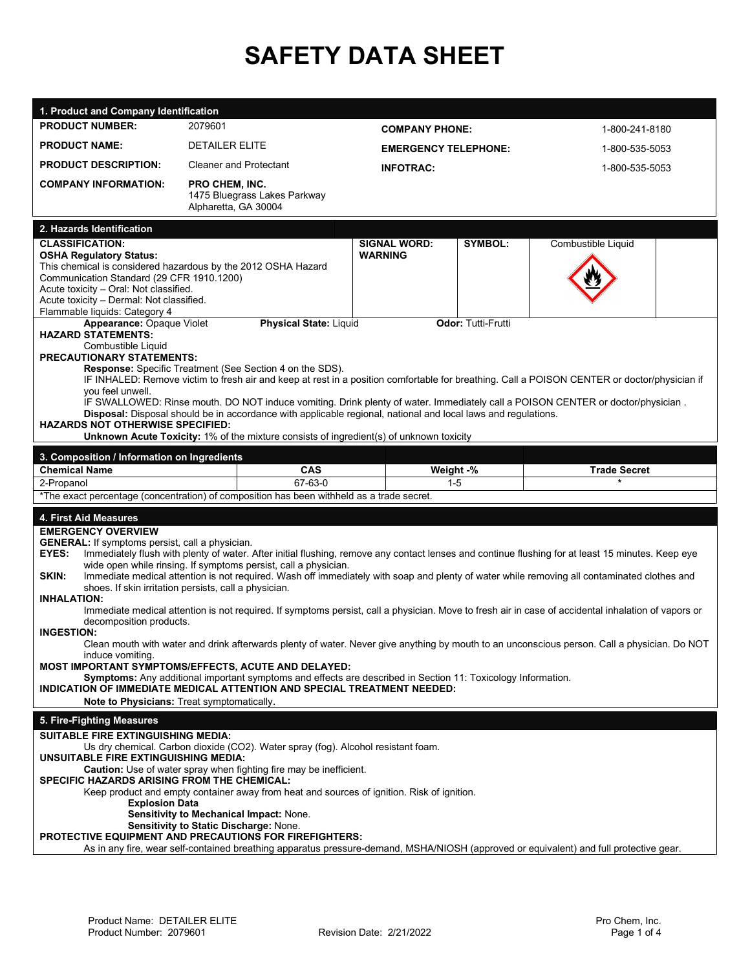## **SAFETY DATA SHEET**

| 1. Product and Company Identification                                               |                                                                                                                                                                                                                |                             |                           |                     |  |  |
|-------------------------------------------------------------------------------------|----------------------------------------------------------------------------------------------------------------------------------------------------------------------------------------------------------------|-----------------------------|---------------------------|---------------------|--|--|
| <b>PRODUCT NUMBER:</b>                                                              | 2079601                                                                                                                                                                                                        |                             | <b>COMPANY PHONE:</b>     | 1-800-241-8180      |  |  |
| <b>PRODUCT NAME:</b>                                                                | <b>DETAILER ELITE</b>                                                                                                                                                                                          | <b>EMERGENCY TELEPHONE:</b> |                           | 1-800-535-5053      |  |  |
| <b>PRODUCT DESCRIPTION:</b>                                                         | <b>Cleaner and Protectant</b>                                                                                                                                                                                  | <b>INFOTRAC:</b>            |                           | 1-800-535-5053      |  |  |
| <b>COMPANY INFORMATION:</b>                                                         | <b>PRO CHEM, INC.</b>                                                                                                                                                                                          |                             |                           |                     |  |  |
|                                                                                     | 1475 Bluegrass Lakes Parkway<br>Alpharetta, GA 30004                                                                                                                                                           |                             |                           |                     |  |  |
| 2. Hazards Identification                                                           |                                                                                                                                                                                                                |                             |                           |                     |  |  |
| <b>CLASSIFICATION:</b>                                                              |                                                                                                                                                                                                                | <b>SIGNAL WORD:</b>         | SYMBOL:                   | Combustible Liquid  |  |  |
| <b>OSHA Regulatory Status:</b>                                                      |                                                                                                                                                                                                                | <b>WARNING</b>              |                           |                     |  |  |
| Communication Standard (29 CFR 1910.1200)                                           | This chemical is considered hazardous by the 2012 OSHA Hazard                                                                                                                                                  |                             |                           |                     |  |  |
| Acute toxicity - Oral: Not classified.                                              |                                                                                                                                                                                                                |                             |                           |                     |  |  |
| Acute toxicity - Dermal: Not classified.                                            |                                                                                                                                                                                                                |                             |                           |                     |  |  |
| Flammable liquids: Category 4<br>Appearance: Opaque Violet                          | <b>Physical State: Liquid</b>                                                                                                                                                                                  |                             | <b>Odor: Tutti-Frutti</b> |                     |  |  |
| <b>HAZARD STATEMENTS:</b>                                                           |                                                                                                                                                                                                                |                             |                           |                     |  |  |
| Combustible Liquid<br><b>PRECAUTIONARY STATEMENTS:</b>                              |                                                                                                                                                                                                                |                             |                           |                     |  |  |
|                                                                                     | <b>Response:</b> Specific Treatment (See Section 4 on the SDS).                                                                                                                                                |                             |                           |                     |  |  |
|                                                                                     | IF INHALED: Remove victim to fresh air and keep at rest in a position comfortable for breathing. Call a POISON CENTER or doctor/physician if                                                                   |                             |                           |                     |  |  |
| you feel unwell.                                                                    | IF SWALLOWED: Rinse mouth. DO NOT induce vomiting. Drink plenty of water. Immediately call a POISON CENTER or doctor/physician.                                                                                |                             |                           |                     |  |  |
|                                                                                     | Disposal: Disposal should be in accordance with applicable regional, national and local laws and regulations.                                                                                                  |                             |                           |                     |  |  |
| <b>HAZARDS NOT OTHERWISE SPECIFIED:</b>                                             | <b>Unknown Acute Toxicity: 1% of the mixture consists of ingredient(s) of unknown toxicity</b>                                                                                                                 |                             |                           |                     |  |  |
|                                                                                     |                                                                                                                                                                                                                |                             |                           |                     |  |  |
| 3. Composition / Information on Ingredients                                         |                                                                                                                                                                                                                |                             |                           |                     |  |  |
| <b>Chemical Name</b>                                                                | <b>CAS</b>                                                                                                                                                                                                     | Weight -%                   |                           | <b>Trade Secret</b> |  |  |
|                                                                                     | 67-63-0<br>$\star$<br>2-Propanol<br>$1 - 5$                                                                                                                                                                    |                             |                           |                     |  |  |
|                                                                                     | *The exact percentage (concentration) of composition has been withheld as a trade secret.                                                                                                                      |                             |                           |                     |  |  |
|                                                                                     |                                                                                                                                                                                                                |                             |                           |                     |  |  |
| 4. First Aid Measures                                                               |                                                                                                                                                                                                                |                             |                           |                     |  |  |
| <b>EMERGENCY OVERVIEW</b><br><b>GENERAL:</b> If symptoms persist, call a physician. |                                                                                                                                                                                                                |                             |                           |                     |  |  |
| EYES:                                                                               | Immediately flush with plenty of water. After initial flushing, remove any contact lenses and continue flushing for at least 15 minutes. Keep eye                                                              |                             |                           |                     |  |  |
| SKIN:                                                                               | wide open while rinsing. If symptoms persist, call a physician.<br>Immediate medical attention is not required. Wash off immediately with soap and plenty of water while removing all contaminated clothes and |                             |                           |                     |  |  |
|                                                                                     | shoes. If skin irritation persists, call a physician.                                                                                                                                                          |                             |                           |                     |  |  |
| <b>INHALATION:</b>                                                                  | Immediate medical attention is not required. If symptoms persist, call a physician. Move to fresh air in case of accidental inhalation of vapors or                                                            |                             |                           |                     |  |  |
| decomposition products.                                                             |                                                                                                                                                                                                                |                             |                           |                     |  |  |
| <b>INGESTION:</b>                                                                   |                                                                                                                                                                                                                |                             |                           |                     |  |  |
| induce vomiting.                                                                    | Clean mouth with water and drink afterwards plenty of water. Never give anything by mouth to an unconscious person. Call a physician. Do NOT                                                                   |                             |                           |                     |  |  |
|                                                                                     | MOST IMPORTANT SYMPTOMS/EFFECTS, ACUTE AND DELAYED:                                                                                                                                                            |                             |                           |                     |  |  |
|                                                                                     | Symptoms: Any additional important symptoms and effects are described in Section 11: Toxicology Information.<br>INDICATION OF IMMEDIATE MEDICAL ATTENTION AND SPECIAL TREATMENT NEEDED:                        |                             |                           |                     |  |  |
| Note to Physicians: Treat symptomatically.                                          |                                                                                                                                                                                                                |                             |                           |                     |  |  |
| 5. Fire-Fighting Measures                                                           |                                                                                                                                                                                                                |                             |                           |                     |  |  |
| <b>SUITABLE FIRE EXTINGUISHING MEDIA:</b>                                           |                                                                                                                                                                                                                |                             |                           |                     |  |  |
| <b>UNSUITABLE FIRE EXTINGUISHING MEDIA:</b>                                         | Us dry chemical. Carbon dioxide (CO2). Water spray (fog). Alcohol resistant foam.                                                                                                                              |                             |                           |                     |  |  |
|                                                                                     | Caution: Use of water spray when fighting fire may be inefficient.                                                                                                                                             |                             |                           |                     |  |  |
| <b>SPECIFIC HAZARDS ARISING FROM THE CHEMICAL:</b>                                  | Keep product and empty container away from heat and sources of ignition. Risk of ignition.                                                                                                                     |                             |                           |                     |  |  |
| <b>Explosion Data</b>                                                               |                                                                                                                                                                                                                |                             |                           |                     |  |  |
|                                                                                     | Sensitivity to Mechanical Impact: None.                                                                                                                                                                        |                             |                           |                     |  |  |
|                                                                                     | Sensitivity to Static Discharge: None.<br>PROTECTIVE EQUIPMENT AND PRECAUTIONS FOR FIREFIGHTERS:                                                                                                               |                             |                           |                     |  |  |
|                                                                                     | As in any fire, wear self-contained breathing apparatus pressure-demand, MSHA/NIOSH (approved or equivalent) and full protective gear.                                                                         |                             |                           |                     |  |  |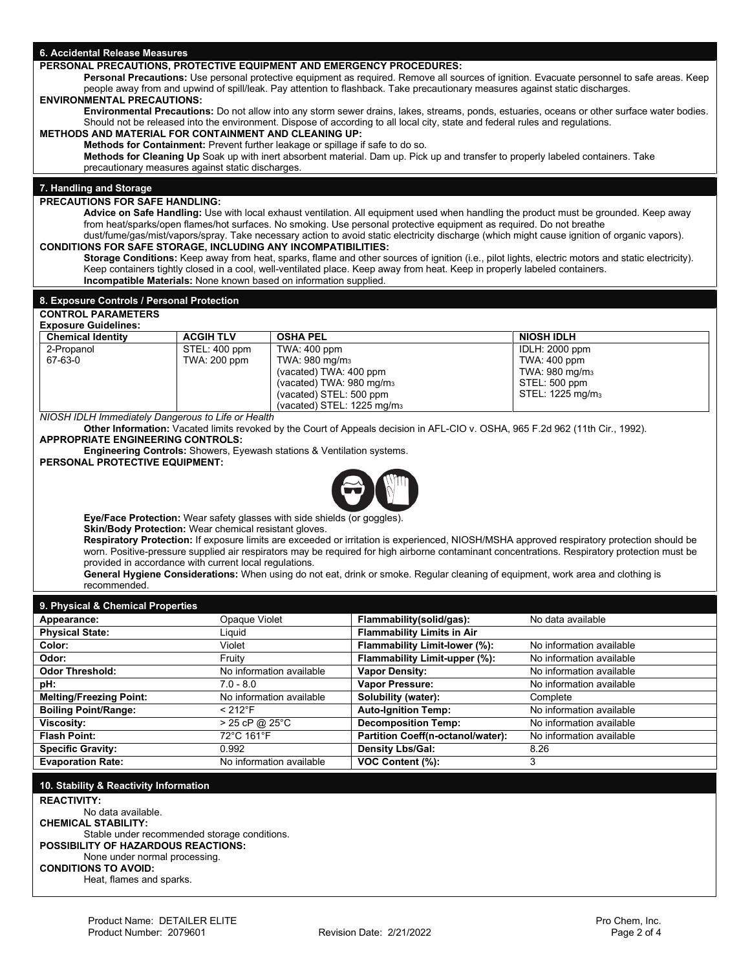| 6. Accidental Release Measures                                                                                                                                                                                                                                               |                                                                                                                                                                                                                    |                                                       |                                                                                                                                 |                                                                                                                                                    |  |  |  |
|------------------------------------------------------------------------------------------------------------------------------------------------------------------------------------------------------------------------------------------------------------------------------|--------------------------------------------------------------------------------------------------------------------------------------------------------------------------------------------------------------------|-------------------------------------------------------|---------------------------------------------------------------------------------------------------------------------------------|----------------------------------------------------------------------------------------------------------------------------------------------------|--|--|--|
| PERSONAL PRECAUTIONS, PROTECTIVE EQUIPMENT AND EMERGENCY PROCEDURES:                                                                                                                                                                                                         |                                                                                                                                                                                                                    |                                                       |                                                                                                                                 |                                                                                                                                                    |  |  |  |
| Personal Precautions: Use personal protective equipment as required. Remove all sources of ignition. Evacuate personnel to safe areas. Keep<br>people away from and upwind of spill/leak. Pay attention to flashback. Take precautionary measures against static discharges. |                                                                                                                                                                                                                    |                                                       |                                                                                                                                 |                                                                                                                                                    |  |  |  |
| <b>ENVIRONMENTAL PRECAUTIONS:</b><br>Environmental Precautions: Do not allow into any storm sewer drains, lakes, streams, ponds, estuaries, oceans or other surface water bodies.                                                                                            |                                                                                                                                                                                                                    |                                                       |                                                                                                                                 |                                                                                                                                                    |  |  |  |
| Should not be released into the environment. Dispose of according to all local city, state and federal rules and regulations.                                                                                                                                                |                                                                                                                                                                                                                    |                                                       |                                                                                                                                 |                                                                                                                                                    |  |  |  |
|                                                                                                                                                                                                                                                                              | <b>METHODS AND MATERIAL FOR CONTAINMENT AND CLEANING UP:</b>                                                                                                                                                       |                                                       |                                                                                                                                 |                                                                                                                                                    |  |  |  |
|                                                                                                                                                                                                                                                                              | Methods for Containment: Prevent further leakage or spillage if safe to do so.<br>Methods for Cleaning Up Soak up with inert absorbent material. Dam up. Pick up and transfer to properly labeled containers. Take |                                                       |                                                                                                                                 |                                                                                                                                                    |  |  |  |
| precautionary measures against static discharges.                                                                                                                                                                                                                            |                                                                                                                                                                                                                    |                                                       |                                                                                                                                 |                                                                                                                                                    |  |  |  |
| 7. Handling and Storage                                                                                                                                                                                                                                                      |                                                                                                                                                                                                                    |                                                       |                                                                                                                                 |                                                                                                                                                    |  |  |  |
| <b>PRECAUTIONS FOR SAFE HANDLING:</b>                                                                                                                                                                                                                                        |                                                                                                                                                                                                                    |                                                       |                                                                                                                                 |                                                                                                                                                    |  |  |  |
|                                                                                                                                                                                                                                                                              |                                                                                                                                                                                                                    |                                                       |                                                                                                                                 | Advice on Safe Handling: Use with local exhaust ventilation. All equipment used when handling the product must be grounded. Keep away              |  |  |  |
|                                                                                                                                                                                                                                                                              |                                                                                                                                                                                                                    |                                                       | from heat/sparks/open flames/hot surfaces. No smoking. Use personal protective equipment as required. Do not breathe            | dust/fume/gas/mist/vapors/spray. Take necessary action to avoid static electricity discharge (which might cause ignition of organic vapors).       |  |  |  |
| <b>CONDITIONS FOR SAFE STORAGE, INCLUDING ANY INCOMPATIBILITIES:</b>                                                                                                                                                                                                         |                                                                                                                                                                                                                    |                                                       |                                                                                                                                 |                                                                                                                                                    |  |  |  |
|                                                                                                                                                                                                                                                                              |                                                                                                                                                                                                                    |                                                       | Keep containers tightly closed in a cool, well-ventilated place. Keep away from heat. Keep in properly labeled containers.      | Storage Conditions: Keep away from heat, sparks, flame and other sources of ignition (i.e., pilot lights, electric motors and static electricity). |  |  |  |
| Incompatible Materials: None known based on information supplied.                                                                                                                                                                                                            |                                                                                                                                                                                                                    |                                                       |                                                                                                                                 |                                                                                                                                                    |  |  |  |
| 8. Exposure Controls / Personal Protection                                                                                                                                                                                                                                   |                                                                                                                                                                                                                    |                                                       |                                                                                                                                 |                                                                                                                                                    |  |  |  |
| <b>CONTROL PARAMETERS</b>                                                                                                                                                                                                                                                    |                                                                                                                                                                                                                    |                                                       |                                                                                                                                 |                                                                                                                                                    |  |  |  |
| <b>Exposure Guidelines:</b>                                                                                                                                                                                                                                                  |                                                                                                                                                                                                                    |                                                       |                                                                                                                                 |                                                                                                                                                    |  |  |  |
| <b>Chemical Identity</b>                                                                                                                                                                                                                                                     | <b>ACGIHTLV</b>                                                                                                                                                                                                    | <b>OSHA PEL</b>                                       |                                                                                                                                 | <b>NIOSH IDLH</b>                                                                                                                                  |  |  |  |
| 2-Propanol<br>67-63-0                                                                                                                                                                                                                                                        | STEL: 400 ppm<br>TWA: 200 ppm                                                                                                                                                                                      | <b>TWA: 400 ppm</b><br>TWA: 980 mg/m <sub>3</sub>     |                                                                                                                                 | IDLH: 2000 ppm<br>TWA: 400 ppm                                                                                                                     |  |  |  |
|                                                                                                                                                                                                                                                                              |                                                                                                                                                                                                                    | (vacated) TWA: 400 ppm                                |                                                                                                                                 | TWA: 980 mg/m <sub>3</sub>                                                                                                                         |  |  |  |
|                                                                                                                                                                                                                                                                              |                                                                                                                                                                                                                    | (vacated) TWA: 980 mg/m <sub>3</sub>                  |                                                                                                                                 | STEL: 500 ppm                                                                                                                                      |  |  |  |
|                                                                                                                                                                                                                                                                              |                                                                                                                                                                                                                    | (vacated) STEL: 500 ppm<br>(vacated) STEL: 1225 mg/m3 |                                                                                                                                 | STEL: 1225 mg/m <sub>3</sub>                                                                                                                       |  |  |  |
| NIOSH IDLH Immediately Dangerous to Life or Health                                                                                                                                                                                                                           |                                                                                                                                                                                                                    |                                                       |                                                                                                                                 |                                                                                                                                                    |  |  |  |
|                                                                                                                                                                                                                                                                              |                                                                                                                                                                                                                    |                                                       | Other Information: Vacated limits revoked by the Court of Appeals decision in AFL-CIO v. OSHA, 965 F.2d 962 (11th Cir., 1992).  |                                                                                                                                                    |  |  |  |
| <b>APPROPRIATE ENGINEERING CONTROLS:</b><br><b>Engineering Controls:</b> Showers, Eyewash stations & Ventilation systems.                                                                                                                                                    |                                                                                                                                                                                                                    |                                                       |                                                                                                                                 |                                                                                                                                                    |  |  |  |
| PERSONAL PROTECTIVE EQUIPMENT:                                                                                                                                                                                                                                               |                                                                                                                                                                                                                    |                                                       |                                                                                                                                 |                                                                                                                                                    |  |  |  |
|                                                                                                                                                                                                                                                                              |                                                                                                                                                                                                                    |                                                       |                                                                                                                                 |                                                                                                                                                    |  |  |  |
|                                                                                                                                                                                                                                                                              |                                                                                                                                                                                                                    |                                                       |                                                                                                                                 |                                                                                                                                                    |  |  |  |
|                                                                                                                                                                                                                                                                              |                                                                                                                                                                                                                    |                                                       |                                                                                                                                 |                                                                                                                                                    |  |  |  |
| Eye/Face Protection: Wear safety glasses with side shields (or goggles).                                                                                                                                                                                                     |                                                                                                                                                                                                                    |                                                       |                                                                                                                                 |                                                                                                                                                    |  |  |  |
| <b>Skin/Body Protection:</b> Wear chemical resistant gloves.                                                                                                                                                                                                                 |                                                                                                                                                                                                                    |                                                       |                                                                                                                                 | Respiratory Protection: If exposure limits are exceeded or irritation is experienced, NIOSH/MSHA approved respiratory protection should be         |  |  |  |
|                                                                                                                                                                                                                                                                              |                                                                                                                                                                                                                    |                                                       |                                                                                                                                 | worn. Positive-pressure supplied air respirators may be required for high airborne contaminant concentrations. Respiratory protection must be      |  |  |  |
| provided in accordance with current local regulations.                                                                                                                                                                                                                       |                                                                                                                                                                                                                    |                                                       | General Hygiene Considerations: When using do not eat, drink or smoke. Regular cleaning of equipment, work area and clothing is |                                                                                                                                                    |  |  |  |
| recommended.                                                                                                                                                                                                                                                                 |                                                                                                                                                                                                                    |                                                       |                                                                                                                                 |                                                                                                                                                    |  |  |  |
| 9. Physical & Chemical Properties                                                                                                                                                                                                                                            |                                                                                                                                                                                                                    |                                                       |                                                                                                                                 |                                                                                                                                                    |  |  |  |
| Appearance:                                                                                                                                                                                                                                                                  | Opaque Violet                                                                                                                                                                                                      |                                                       | Flammability(solid/gas):                                                                                                        | No data available                                                                                                                                  |  |  |  |
| <b>Physical State:</b>                                                                                                                                                                                                                                                       | Liquid                                                                                                                                                                                                             |                                                       | <b>Flammability Limits in Air</b>                                                                                               |                                                                                                                                                    |  |  |  |
| Color:                                                                                                                                                                                                                                                                       | Violet                                                                                                                                                                                                             |                                                       | Flammability Limit-lower (%):                                                                                                   | No information available                                                                                                                           |  |  |  |
| Odor:                                                                                                                                                                                                                                                                        | Fruity                                                                                                                                                                                                             |                                                       | Flammability Limit-upper (%):                                                                                                   | No information available                                                                                                                           |  |  |  |
| <b>Odor Threshold:</b>                                                                                                                                                                                                                                                       |                                                                                                                                                                                                                    | No information available                              | <b>Vapor Density:</b>                                                                                                           | No information available                                                                                                                           |  |  |  |
| pH:<br><b>Melting/Freezing Point:</b>                                                                                                                                                                                                                                        | $7.0 - 8.0$                                                                                                                                                                                                        | No information available                              | Vapor Pressure:<br>Solubility (water):                                                                                          | No information available<br>Complete                                                                                                               |  |  |  |
| <b>Boiling Point/Range:</b>                                                                                                                                                                                                                                                  | $< 212°$ F                                                                                                                                                                                                         |                                                       | <b>Auto-Ignition Temp:</b>                                                                                                      | No information available                                                                                                                           |  |  |  |
| Viscosity:                                                                                                                                                                                                                                                                   | > 25 cP @ 25°C                                                                                                                                                                                                     |                                                       | <b>Decomposition Temp:</b>                                                                                                      | No information available                                                                                                                           |  |  |  |
| <b>Flash Point:</b>                                                                                                                                                                                                                                                          | 72°C 161°F                                                                                                                                                                                                         |                                                       | Partition Coeff(n-octanol/water):                                                                                               | No information available                                                                                                                           |  |  |  |
| <b>Specific Gravity:</b>                                                                                                                                                                                                                                                     | 0.992                                                                                                                                                                                                              |                                                       | <b>Density Lbs/Gal:</b>                                                                                                         | 8.26                                                                                                                                               |  |  |  |
| <b>Evaporation Rate:</b>                                                                                                                                                                                                                                                     |                                                                                                                                                                                                                    | No information available                              | VOC Content (%):                                                                                                                | 3                                                                                                                                                  |  |  |  |
| 10. Stability & Reactivity Information                                                                                                                                                                                                                                       |                                                                                                                                                                                                                    |                                                       |                                                                                                                                 |                                                                                                                                                    |  |  |  |
| <b>REACTIVITY:</b>                                                                                                                                                                                                                                                           |                                                                                                                                                                                                                    |                                                       |                                                                                                                                 |                                                                                                                                                    |  |  |  |
| No data available.                                                                                                                                                                                                                                                           |                                                                                                                                                                                                                    |                                                       |                                                                                                                                 |                                                                                                                                                    |  |  |  |
| <b>CHEMICAL STABILITY:</b><br>Stable under recommended storage conditions.                                                                                                                                                                                                   |                                                                                                                                                                                                                    |                                                       |                                                                                                                                 |                                                                                                                                                    |  |  |  |
| <b>POSSIBILITY OF HAZARDOUS REACTIONS:</b>                                                                                                                                                                                                                                   |                                                                                                                                                                                                                    |                                                       |                                                                                                                                 |                                                                                                                                                    |  |  |  |
| None under normal processing.                                                                                                                                                                                                                                                |                                                                                                                                                                                                                    |                                                       |                                                                                                                                 |                                                                                                                                                    |  |  |  |
| <b>CONDITIONS TO AVOID:</b><br>Heat, flames and sparks.                                                                                                                                                                                                                      |                                                                                                                                                                                                                    |                                                       |                                                                                                                                 |                                                                                                                                                    |  |  |  |
|                                                                                                                                                                                                                                                                              |                                                                                                                                                                                                                    |                                                       |                                                                                                                                 |                                                                                                                                                    |  |  |  |
|                                                                                                                                                                                                                                                                              |                                                                                                                                                                                                                    |                                                       |                                                                                                                                 |                                                                                                                                                    |  |  |  |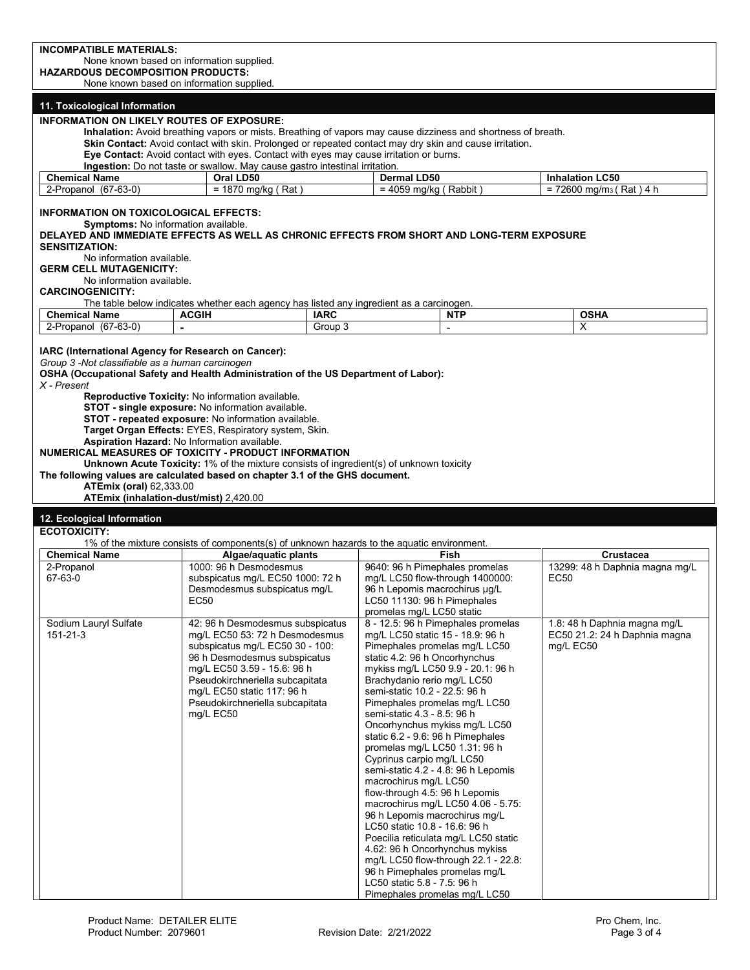| <b>INCOMPATIBLE MATERIALS:</b><br>None known based on information supplied.<br><b>HAZARDOUS DECOMPOSITION PRODUCTS:</b><br>None known based on information supplied.                                           |                                                                                                                                                                                                                       |                        |                                                                                                                                   |                              |      |                                       |
|----------------------------------------------------------------------------------------------------------------------------------------------------------------------------------------------------------------|-----------------------------------------------------------------------------------------------------------------------------------------------------------------------------------------------------------------------|------------------------|-----------------------------------------------------------------------------------------------------------------------------------|------------------------------|------|---------------------------------------|
|                                                                                                                                                                                                                |                                                                                                                                                                                                                       |                        |                                                                                                                                   |                              |      |                                       |
|                                                                                                                                                                                                                |                                                                                                                                                                                                                       |                        |                                                                                                                                   |                              |      |                                       |
|                                                                                                                                                                                                                |                                                                                                                                                                                                                       |                        |                                                                                                                                   |                              |      |                                       |
| 11. Toxicological Information                                                                                                                                                                                  |                                                                                                                                                                                                                       |                        |                                                                                                                                   |                              |      |                                       |
| <b>INFORMATION ON LIKELY ROUTES OF EXPOSURE:</b>                                                                                                                                                               | Inhalation: Avoid breathing vapors or mists. Breathing of vapors may cause dizziness and shortness of breath.                                                                                                         |                        |                                                                                                                                   |                              |      |                                       |
|                                                                                                                                                                                                                | Skin Contact: Avoid contact with skin. Prolonged or repeated contact may dry skin and cause irritation.                                                                                                               |                        |                                                                                                                                   |                              |      |                                       |
|                                                                                                                                                                                                                | Eye Contact: Avoid contact with eyes. Contact with eyes may cause irritation or burns.                                                                                                                                |                        |                                                                                                                                   |                              |      |                                       |
| <b>Chemical Name</b>                                                                                                                                                                                           | Ingestion: Do not taste or swallow. May cause gastro intestinal irritation.<br>Oral LD50                                                                                                                              |                        | Dermal LD50                                                                                                                       |                              |      | <b>Inhalation LC50</b>                |
| 2-Propanol (67-63-0)                                                                                                                                                                                           | $= 1870$ mg/kg (Rat)                                                                                                                                                                                                  |                        | $= 4059$ mg/kg (Rabbit)                                                                                                           |                              |      | $= 72600$ mg/m <sub>3</sub> (Rat) 4 h |
| <b>INFORMATION ON TOXICOLOGICAL EFFECTS:</b><br>Symptoms: No information available.                                                                                                                            |                                                                                                                                                                                                                       |                        |                                                                                                                                   |                              |      |                                       |
| DELAYED AND IMMEDIATE EFFECTS AS WELL AS CHRONIC EFFECTS FROM SHORT AND LONG-TERM EXPOSURE<br><b>SENSITIZATION:</b>                                                                                            |                                                                                                                                                                                                                       |                        |                                                                                                                                   |                              |      |                                       |
| No information available.                                                                                                                                                                                      |                                                                                                                                                                                                                       |                        |                                                                                                                                   |                              |      |                                       |
| <b>GERM CELL MUTAGENICITY:</b><br>No information available.                                                                                                                                                    |                                                                                                                                                                                                                       |                        |                                                                                                                                   |                              |      |                                       |
| <b>CARCINOGENICITY:</b>                                                                                                                                                                                        |                                                                                                                                                                                                                       |                        |                                                                                                                                   |                              |      |                                       |
|                                                                                                                                                                                                                | The table below indicates whether each agency has listed any ingredient as a carcinogen.                                                                                                                              |                        |                                                                                                                                   |                              |      |                                       |
| <b>Chemical Name</b><br>2-Propanol (67-63-0)                                                                                                                                                                   | <b>ACGIH</b>                                                                                                                                                                                                          | <b>IARC</b><br>Group 3 |                                                                                                                                   | <b>NTP</b><br>$\blacksquare$ |      | <b>OSHA</b><br>X                      |
|                                                                                                                                                                                                                |                                                                                                                                                                                                                       |                        |                                                                                                                                   |                              |      |                                       |
| IARC (International Agency for Research on Cancer):<br>Group 3 -Not classifiable as a human carcinogen<br>OSHA (Occupational Safety and Health Administration of the US Department of Labor):<br>$X$ - Present | Reproductive Toxicity: No information available.<br>STOT - single exposure: No information available.<br>STOT - repeated exposure: No information available.<br>Target Organ Effects: EYES, Respiratory system, Skin. |                        |                                                                                                                                   |                              |      |                                       |
| NUMERICAL MEASURES OF TOXICITY - PRODUCT INFORMATION<br>The following values are calculated based on chapter 3.1 of the GHS document.<br><b>ATEmix (oral) 62,333.00</b>                                        | <b>Aspiration Hazard: No Information available.</b><br><b>Unknown Acute Toxicity: 1% of the mixture consists of ingredient(s) of unknown toxicity</b><br>ATEmix (inhalation-dust/mist) 2,420.00                       |                        |                                                                                                                                   |                              |      |                                       |
|                                                                                                                                                                                                                |                                                                                                                                                                                                                       |                        |                                                                                                                                   |                              |      |                                       |
| 12. Ecological Information<br><b>ECOTOXICITY:</b>                                                                                                                                                              |                                                                                                                                                                                                                       |                        |                                                                                                                                   |                              |      |                                       |
|                                                                                                                                                                                                                | 1% of the mixture consists of components(s) of unknown hazards to the aquatic environment.                                                                                                                            |                        |                                                                                                                                   |                              |      |                                       |
| <b>Chemical Name</b>                                                                                                                                                                                           | Algae/aquatic plants                                                                                                                                                                                                  |                        |                                                                                                                                   | Fish                         |      | Crustacea                             |
| 2-Propanol<br>67-63-0                                                                                                                                                                                          | 1000: 96 h Desmodesmus<br>subspicatus mg/L EC50 1000: 72 h<br>Desmodesmus subspicatus mg/L<br>EC50                                                                                                                    |                        | 9640: 96 h Pimephales promelas<br>mg/L LC50 flow-through 1400000:<br>96 h Lepomis macrochirus µg/L<br>LC50 11130: 96 h Pimephales |                              | EC50 | 13299: 48 h Daphnia magna mg/L        |
| Sodium Lauryl Sulfate                                                                                                                                                                                          | 42: 96 h Desmodesmus subspicatus                                                                                                                                                                                      |                        | promelas mg/L LC50 static<br>8 - 12.5: 96 h Pimephales promelas                                                                   |                              |      | 1.8: 48 h Daphnia magna mg/L          |

mg/L LC50 flow-through 22.1 - 22.8: 96 h Pimephales promelas mg/L LC50 static 5.8 - 7.5: 96 h Pimephales promelas mg/L LC50